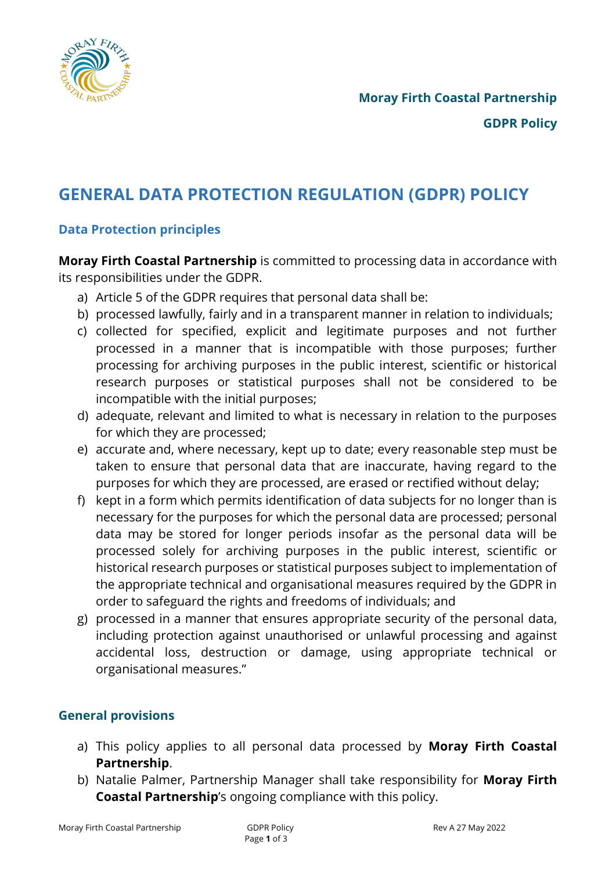

# **GENERAL DATA PROTECTION REGULATION (GDPR) POLICY**

# **Data Protection principles**

**Moray Firth Coastal Partnership** is committed to processing data in accordance with its responsibilities under the GDPR.

- a) Article 5 of the GDPR requires that personal data shall be:
- b) processed lawfully, fairly and in a transparent manner in relation to individuals;
- c) collected for specified, explicit and legitimate purposes and not further processed in a manner that is incompatible with those purposes; further processing for archiving purposes in the public interest, scientific or historical research purposes or statistical purposes shall not be considered to be incompatible with the initial purposes;
- d) adequate, relevant and limited to what is necessary in relation to the purposes for which they are processed;
- e) accurate and, where necessary, kept up to date; every reasonable step must be taken to ensure that personal data that are inaccurate, having regard to the purposes for which they are processed, are erased or rectified without delay;
- f) kept in a form which permits identification of data subjects for no longer than is necessary for the purposes for which the personal data are processed; personal data may be stored for longer periods insofar as the personal data will be processed solely for archiving purposes in the public interest, scientific or historical research purposes or statistical purposes subject to implementation of the appropriate technical and organisational measures required by the GDPR in order to safeguard the rights and freedoms of individuals; and
- g) processed in a manner that ensures appropriate security of the personal data, including protection against unauthorised or unlawful processing and against accidental loss, destruction or damage, using appropriate technical or organisational measures."

# **General provisions**

- a) This policy applies to all personal data processed by **Moray Firth Coastal Partnership**.
- b) Natalie Palmer, Partnership Manager shall take responsibility for **Moray Firth Coastal Partnership**'s ongoing compliance with this policy.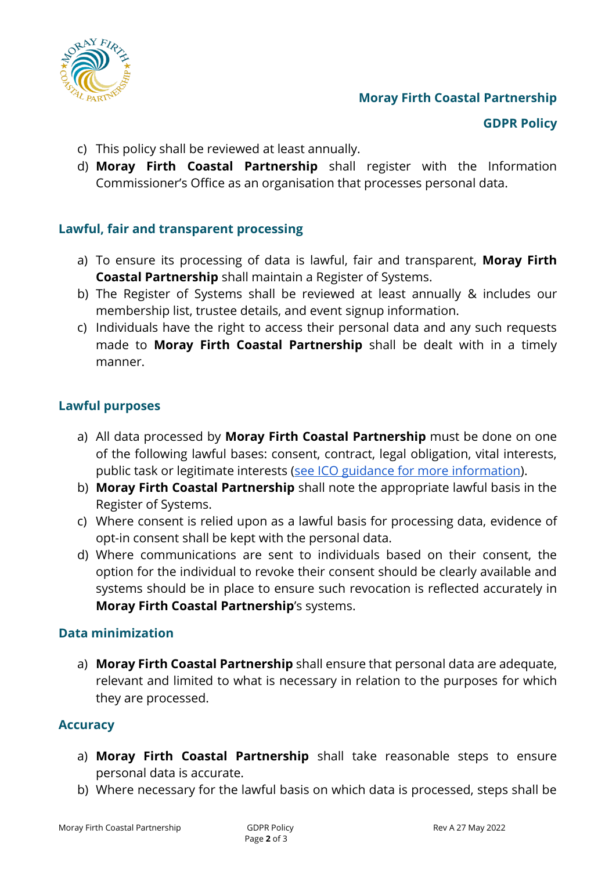

# **Moray Firth Coastal Partnership**

#### **GDPR Policy**

- c) This policy shall be reviewed at least annually.
- d) **Moray Firth Coastal Partnership** shall register with the Information Commissioner's Office as an organisation that processes personal data.

#### **Lawful, fair and transparent processing**

- a) To ensure its processing of data is lawful, fair and transparent, **Moray Firth Coastal Partnership** shall maintain a Register of Systems.
- b) The Register of Systems shall be reviewed at least annually & includes our membership list, trustee details, and event signup information.
- c) Individuals have the right to access their personal data and any such requests made to **Moray Firth Coastal Partnership** shall be dealt with in a timely manner.

#### **Lawful purposes**

- a) All data processed by **Moray Firth Coastal Partnership** must be done on one of the following lawful bases: consent, contract, legal obligation, vital interests, public task or legitimate interests [\(see ICO guidance for more information\)](https://ico.org.uk/for-organisations/guide-to-the-general-data-protection-regulation-gdpr/lawful-basis-for-processing/).
- b) **Moray Firth Coastal Partnership** shall note the appropriate lawful basis in the Register of Systems.
- c) Where consent is relied upon as a lawful basis for processing data, evidence of opt-in consent shall be kept with the personal data.
- d) Where communications are sent to individuals based on their consent, the option for the individual to revoke their consent should be clearly available and systems should be in place to ensure such revocation is reflected accurately in **Moray Firth Coastal Partnership**'s systems.

#### **Data minimization**

a) **Moray Firth Coastal Partnership** shall ensure that personal data are adequate, relevant and limited to what is necessary in relation to the purposes for which they are processed.

#### **Accuracy**

- a) **Moray Firth Coastal Partnership** shall take reasonable steps to ensure personal data is accurate.
- b) Where necessary for the lawful basis on which data is processed, steps shall be